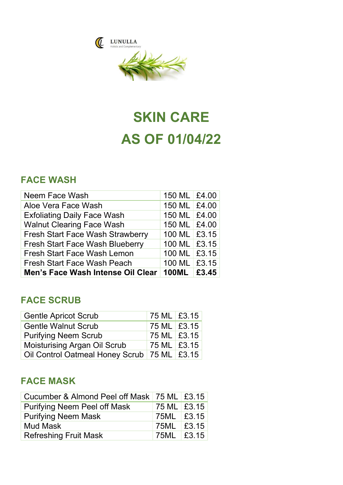



# SKIN CARE AS OF 01/04/22

### FACE WASH

| Neem Face Wash                          | 150 ML £4.00 |  |
|-----------------------------------------|--------------|--|
| Aloe Vera Face Wash                     | 150 ML £4.00 |  |
| <b>Exfoliating Daily Face Wash</b>      | 150 ML £4.00 |  |
| <b>Walnut Clearing Face Wash</b>        | 150 ML £4.00 |  |
| <b>Fresh Start Face Wash Strawberry</b> | 100 ML £3.15 |  |
| <b>Fresh Start Face Wash Blueberry</b>  | 100 ML £3.15 |  |
| <b>Fresh Start Face Wash Lemon</b>      | 100 ML £3.15 |  |
| <b>Fresh Start Face Wash Peach</b>      | 100 ML £3.15 |  |
| Men's Face Wash Intense Oil Clear       | 100ML £3.45  |  |

# FACE SCRUB

| <b>Gentle Apricot Scrub</b>                     | 75 ML £3.15   |  |
|-------------------------------------------------|---------------|--|
| <b>Gentle Walnut Scrub</b>                      | 75 ML   £3.15 |  |
| <b>Purifying Neem Scrub</b>                     | 75 ML £3.15   |  |
| <b>Moisturising Argan Oil Scrub</b>             | 75 ML £3.15   |  |
| Oil Control Oatmeal Honey Scrub   75 ML   £3.15 |               |  |

# FACE MASK

| Cucumber & Almond Peel off Mask   75 ML   £3.15 |             |  |
|-------------------------------------------------|-------------|--|
| <b>Purifying Neem Peel off Mask</b>             | 75 ML £3.15 |  |
| <b>Purifying Neem Mask</b>                      | 75ML £3.15  |  |
| <b>Mud Mask</b>                                 | 75ML £3.15  |  |
| <b>Refreshing Fruit Mask</b>                    | 75ML £3.15  |  |